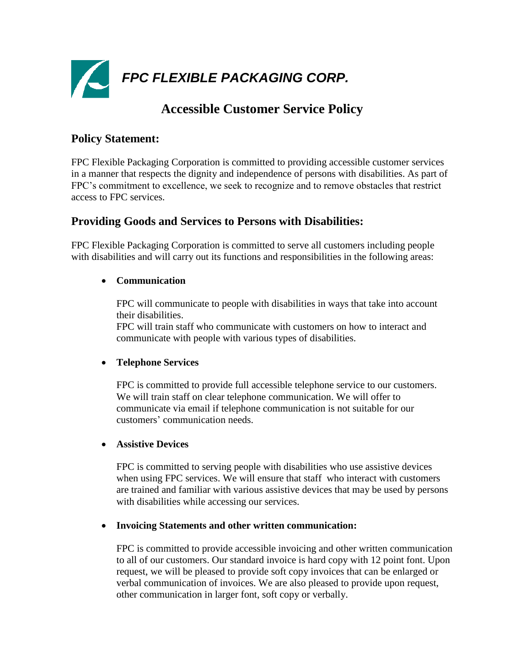

# **Accessible Customer Service Policy**

### **Policy Statement:**

FPC Flexible Packaging Corporation is committed to providing accessible customer services in a manner that respects the dignity and independence of persons with disabilities. As part of FPC's commitment to excellence, we seek to recognize and to remove obstacles that restrict access to FPC services.

## **Providing Goods and Services to Persons with Disabilities:**

FPC Flexible Packaging Corporation is committed to serve all customers including people with disabilities and will carry out its functions and responsibilities in the following areas:

#### **Communication**

FPC will communicate to people with disabilities in ways that take into account their disabilities.

FPC will train staff who communicate with customers on how to interact and communicate with people with various types of disabilities.

#### **Telephone Services**

FPC is committed to provide full accessible telephone service to our customers. We will train staff on clear telephone communication. We will offer to communicate via email if telephone communication is not suitable for our customers' communication needs.

#### **Assistive Devices**

FPC is committed to serving people with disabilities who use assistive devices when using FPC services. We will ensure that staff who interact with customers are trained and familiar with various assistive devices that may be used by persons with disabilities while accessing our services.

#### **Invoicing Statements and other written communication:**

FPC is committed to provide accessible invoicing and other written communication to all of our customers. Our standard invoice is hard copy with 12 point font. Upon request, we will be pleased to provide soft copy invoices that can be enlarged or verbal communication of invoices. We are also pleased to provide upon request, other communication in larger font, soft copy or verbally.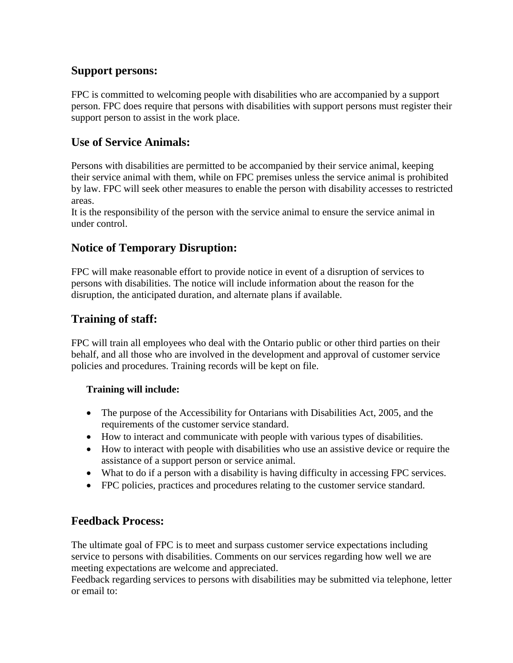## **Support persons:**

FPC is committed to welcoming people with disabilities who are accompanied by a support person. FPC does require that persons with disabilities with support persons must register their support person to assist in the work place.

## **Use of Service Animals:**

Persons with disabilities are permitted to be accompanied by their service animal, keeping their service animal with them, while on FPC premises unless the service animal is prohibited by law. FPC will seek other measures to enable the person with disability accesses to restricted areas.

It is the responsibility of the person with the service animal to ensure the service animal in under control.

## **Notice of Temporary Disruption:**

FPC will make reasonable effort to provide notice in event of a disruption of services to persons with disabilities. The notice will include information about the reason for the disruption, the anticipated duration, and alternate plans if available.

## **Training of staff:**

FPC will train all employees who deal with the Ontario public or other third parties on their behalf, and all those who are involved in the development and approval of customer service policies and procedures. Training records will be kept on file.

### **Training will include:**

- The purpose of the Accessibility for Ontarians with Disabilities Act, 2005, and the requirements of the customer service standard.
- How to interact and communicate with people with various types of disabilities.
- How to interact with people with disabilities who use an assistive device or require the assistance of a support person or service animal.
- What to do if a person with a disability is having difficulty in accessing FPC services.
- FPC policies, practices and procedures relating to the customer service standard.

## **Feedback Process:**

The ultimate goal of FPC is to meet and surpass customer service expectations including service to persons with disabilities. Comments on our services regarding how well we are meeting expectations are welcome and appreciated.

Feedback regarding services to persons with disabilities may be submitted via telephone, letter or email to: